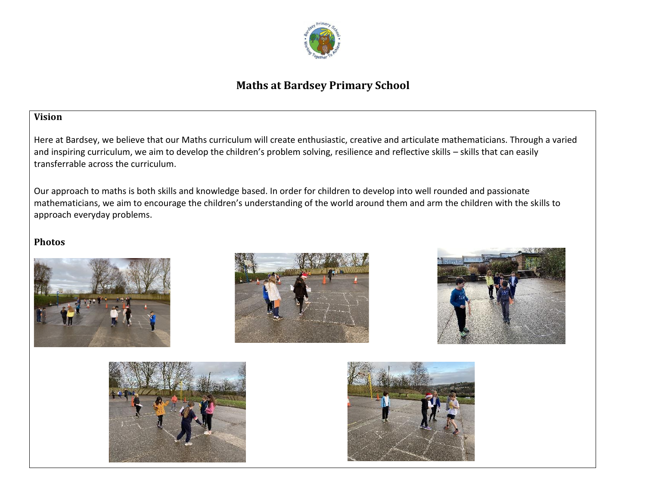

# **Maths at Bardsey Primary School**

## **Vision**

Here at Bardsey, we believe that our Maths curriculum will create enthusiastic, creative and articulate mathematicians. Through a varied and inspiring curriculum, we aim to develop the children's problem solving, resilience and reflective skills – skills that can easily transferrable across the curriculum.

Our approach to maths is both skills and knowledge based. In order for children to develop into well rounded and passionate mathematicians, we aim to encourage the children's understanding of the world around them and arm the children with the skills to approach everyday problems.

## **Photos**









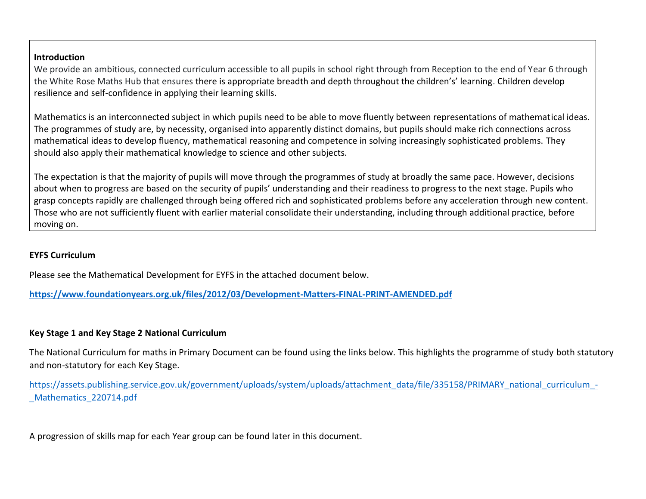#### **Introduction**

We provide an ambitious, connected curriculum accessible to all pupils in school right through from Reception to the end of Year 6 through the White Rose Maths Hub that ensures there is appropriate breadth and depth throughout the children's' learning. Children develop resilience and self-confidence in applying their learning skills.

Mathematics is an interconnected subject in which pupils need to be able to move fluently between representations of mathematical ideas. The programmes of study are, by necessity, organised into apparently distinct domains, but pupils should make rich connections across mathematical ideas to develop fluency, mathematical reasoning and competence in solving increasingly sophisticated problems. They should also apply their mathematical knowledge to science and other subjects.

The expectation is that the majority of pupils will move through the programmes of study at broadly the same pace. However, decisions about when to progress are based on the security of pupils' understanding and their readiness to progress to the next stage. Pupils who grasp concepts rapidly are challenged through being offered rich and sophisticated problems before any acceleration through new content. Those who are not sufficiently fluent with earlier material consolidate their understanding, including through additional practice, before moving on.

## **EYFS Curriculum**

Please see the Mathematical Development for EYFS in the attached document below.

**<https://www.foundationyears.org.uk/files/2012/03/Development-Matters-FINAL-PRINT-AMENDED.pdf>**

## **Key Stage 1 and Key Stage 2 National Curriculum**

The National Curriculum for maths in Primary Document can be found using the links below. This highlights the programme of study both statutory and non-statutory for each Key Stage.

[https://assets.publishing.service.gov.uk/government/uploads/system/uploads/attachment\\_data/file/335158/PRIMARY\\_national\\_curriculum\\_-](https://assets.publishing.service.gov.uk/government/uploads/system/uploads/attachment_data/file/335158/PRIMARY_national_curriculum_-_Mathematics_220714.pdf) Mathematics 220714.pdf

A progression of skills map for each Year group can be found later in this document.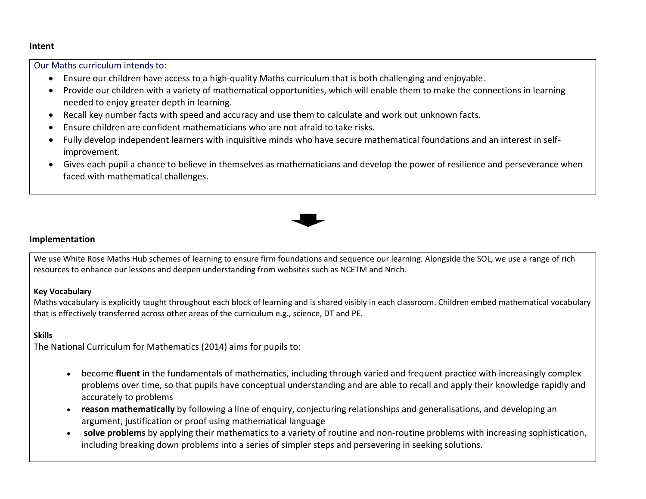#### **Intent**

Our Maths curriculum intends to:

- Ensure our children have access to a high-quality Maths curriculum that is both challenging and enjoyable.
- Provide our children with a variety of mathematical opportunities, which will enable them to make the connections in learning needed to enjoy greater depth in learning.
- Recall key number facts with speed and accuracy and use them to calculate and work out unknown facts.
- Ensure children are confident mathematicians who are not afraid to take risks.
- Fully develop independent learners with inquisitive minds who have secure mathematical foundations and an interest in selfimprovement.
- Gives each pupil a chance to believe in themselves as mathematicians and develop the power of resilience and perseverance when faced with mathematical challenges.



#### **Implementation**

We use White Rose Maths Hub schemes of learning to ensure firm foundations and sequence our learning. Alongside the SOL, we use a range of rich resources to enhance our lessons and deepen understanding from websites such as NCETM and Nrich.

#### **Key Vocabulary**

Maths vocabulary is explicitly taught throughout each block of learning and is shared visibly in each classroom. Children embed mathematical vocabulary that is effectively transferred across other areas of the curriculum e.g., science, DT and PE.

## **Skills**

The National Curriculum for Mathematics (2014) aims for pupils to:

- become **fluent** in the fundamentals of mathematics, including through varied and frequent practice with increasingly complex problems over time, so that pupils have conceptual understanding and are able to recall and apply their knowledge rapidly and accurately to problems
- **reason mathematically** by following a line of enquiry, conjecturing relationships and generalisations, and developing an argument, justification or proof using mathematical language
- **solve problems** by applying their mathematics to a variety of routine and non-routine problems with increasing sophistication, including breaking down problems into a series of simpler steps and persevering in seeking solutions.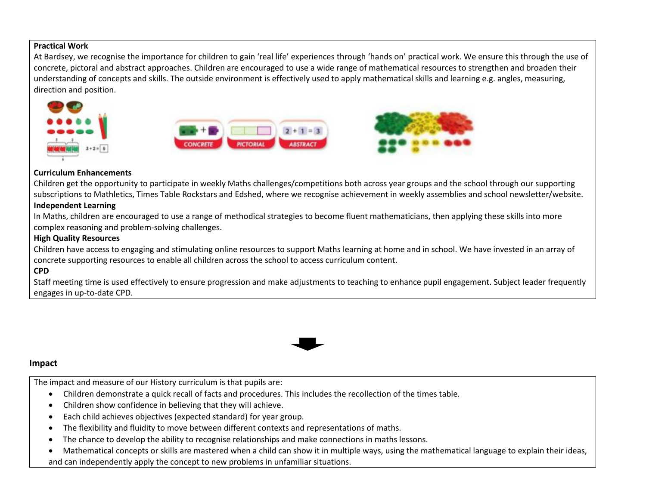#### **Practical Work**

At Bardsey, we recognise the importance for children to gain 'real life' experiences through 'hands on' practical work. We ensure this through the use of concrete, pictoral and abstract approaches. Children are encouraged to use a wide range of mathematical resources to strengthen and broaden their understanding of concepts and skills. The outside environment is effectively used to apply mathematical skills and learning e.g. angles, measuring, direction and position.







#### **Curriculum Enhancements**

Children get the opportunity to participate in weekly Maths challenges/competitions both across year groups and the school through our supporting subscriptions to Mathletics, Times Table Rockstars and Edshed, where we recognise achievement in weekly assemblies and school newsletter/website.

#### **Independent Learning**

In Maths, children are encouraged to use a range of methodical strategies to become fluent mathematicians, then applying these skills into more complex reasoning and problem-solving challenges.

#### **High Quality Resources**

Children have access to engaging and stimulating online resources to support Maths learning at home and in school. We have invested in an array of concrete supporting resources to enable all children across the school to access curriculum content.

### **CPD**

Staff meeting time is used effectively to ensure progression and make adjustments to teaching to enhance pupil engagement. Subject leader frequently engages in up-to-date CPD.



#### **Impact**

The impact and measure of our History curriculum is that pupils are:

- Children demonstrate a quick recall of facts and procedures. This includes the recollection of the times table.
- Children show confidence in believing that they will achieve.
- Each child achieves objectives (expected standard) for year group.
- The flexibility and fluidity to move between different contexts and representations of maths.
- The chance to develop the ability to recognise relationships and make connections in maths lessons.

• Mathematical concepts or skills are mastered when a child can show it in multiple ways, using the mathematical language to explain their ideas, and can independently apply the concept to new problems in unfamiliar situations.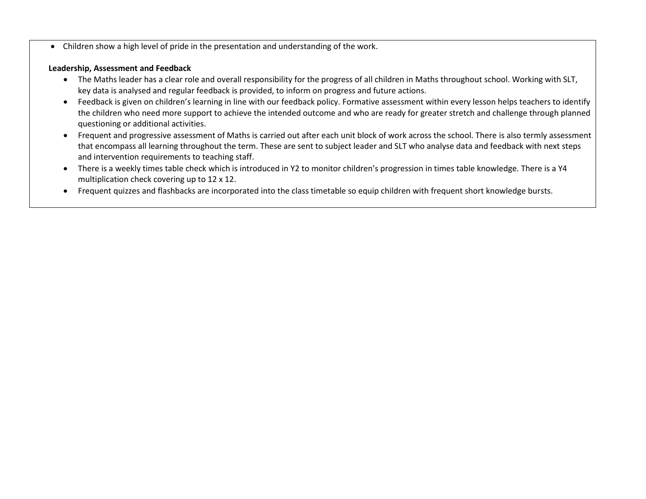• Children show a high level of pride in the presentation and understanding of the work.

#### **Leadership, Assessment and Feedback**

- The Maths leader has a clear role and overall responsibility for the progress of all children in Maths throughout school. Working with SLT, key data is analysed and regular feedback is provided, to inform on progress and future actions.
- Feedback is given on children's learning in line with our feedback policy. Formative assessment within every lesson helps teachers to identify the children who need more support to achieve the intended outcome and who are ready for greater stretch and challenge through planned questioning or additional activities.
- Frequent and progressive assessment of Maths is carried out after each unit block of work across the school. There is also termly assessment that encompass all learning throughout the term. These are sent to subject leader and SLT who analyse data and feedback with next steps and intervention requirements to teaching staff.
- There is a weekly times table check which is introduced in Y2 to monitor children's progression in times table knowledge. There is a Y4 multiplication check covering up to 12 x 12.
- Frequent quizzes and flashbacks are incorporated into the class timetable so equip children with frequent short knowledge bursts.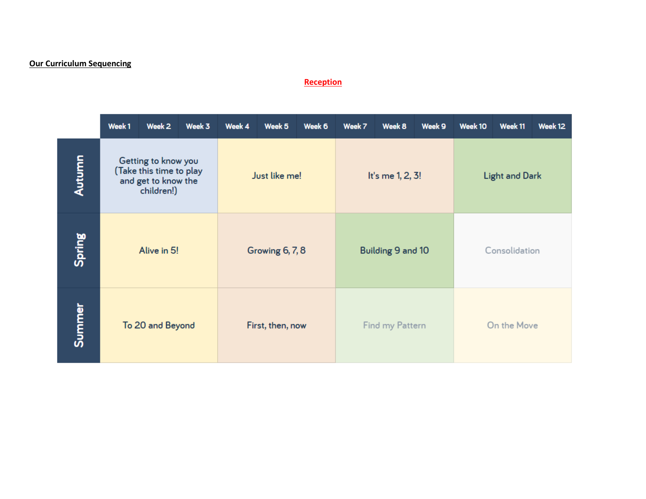## **Our Curriculum Sequencing**

#### **Reception**

|        | Week 1                                                                              | Week 2 | Week 3 | Week 4           | Week 5          | Week 6 | Week 7            | Week 8           | Week 9 | Week 10       | Week 11               | Week 12 |  |
|--------|-------------------------------------------------------------------------------------|--------|--------|------------------|-----------------|--------|-------------------|------------------|--------|---------------|-----------------------|---------|--|
| Autumn | Getting to know you<br>(Take this time to play<br>and get to know the<br>children!) |        |        |                  | Just like me!   |        |                   | It's me 1, 2, 3! |        |               | <b>Light and Dark</b> |         |  |
| Spring | Alive in 5!                                                                         |        |        |                  | Growing 6, 7, 8 |        | Building 9 and 10 |                  |        | Consolidation |                       |         |  |
| Summer | To 20 and Beyond                                                                    |        |        | First, then, now |                 |        | Find my Pattern   |                  |        | On the Move   |                       |         |  |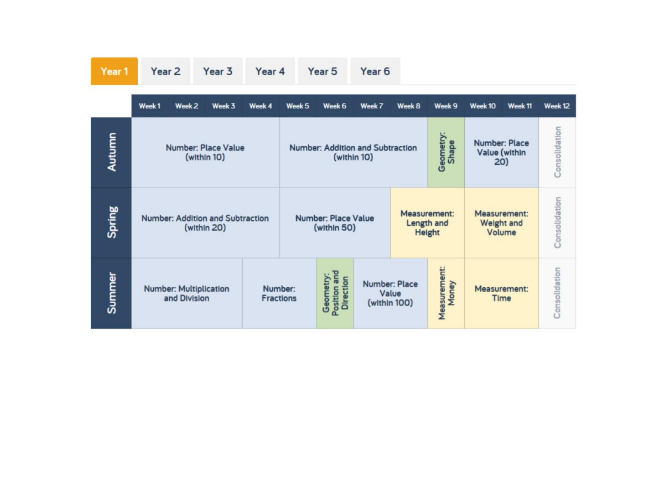| -en- |  |  |
|------|--|--|
|      |  |  |

Year 2 Year 3 Year 4 Year 5 Year 6

|        | Week <sub>1</sub><br>Week <sub>2</sub><br>Week 3 | Week 4 | Week <sub>5</sub>                         | Week 6                                        | Week 7                                        | Week 8                                      | Week 9                                      | Week 10              | Week 11       | Week 12       |
|--------|--------------------------------------------------|--------|-------------------------------------------|-----------------------------------------------|-----------------------------------------------|---------------------------------------------|---------------------------------------------|----------------------|---------------|---------------|
| Autumn | <b>Number: Place Value</b><br>(within 10)        |        | Number: Addition and Subtraction          | (within 10)                                   |                                               | Geometry:<br>Shape                          | Number: Place<br>Value (within<br>20)       | Consolidation        |               |               |
| Spring | Number: Addition and Subtraction<br>(within 20)  |        | <b>Number: Place Value</b><br>(within 50) |                                               |                                               | <b>Measurement:</b><br>Length and<br>Height | Measurement:<br><b>Weight and</b><br>Volume |                      | Consolidation |               |
| Summer | <b>Number: Multiplication</b><br>and Division    |        | Number:<br><b>Fractions</b>               | Position and<br>Geometry:<br><b>Direction</b> | <b>Number: Place</b><br>Value<br>(within 100) |                                             | Measurement:<br>Money                       | Measurement:<br>Time |               | Consolidation |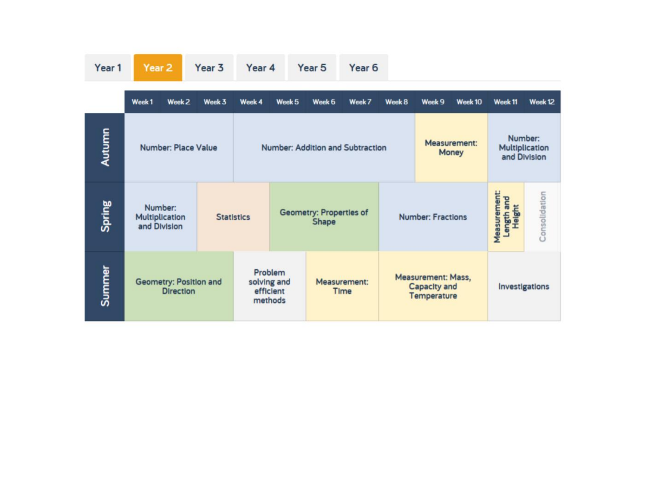|        | Week <sub>1</sub><br>Week 2                | Week 3 | Week 4                           | Week 5                                                                 | Week 6                                  | Week 7 | Week 8 | Week 9                                                   | Week 10 | Week 11        | Week 12       |
|--------|--------------------------------------------|--------|----------------------------------|------------------------------------------------------------------------|-----------------------------------------|--------|--------|----------------------------------------------------------|---------|----------------|---------------|
| Autumn | <b>Number: Place Value</b>                 |        | Number: Addition and Subtraction |                                                                        | Measurement:<br>Money                   |        |        | Number:<br>Multiplication<br>and Division                |         |                |               |
| Spring | Number:<br>Multiplication<br>and Division  |        | <b>Statistics</b>                |                                                                        | <b>Geometry: Properties of</b><br>Shape |        |        | <b>Number: Fractions</b>                                 |         |                | Consolidation |
| Summer | Geometry: Position and<br><b>Direction</b> |        |                                  | Problem<br>Measurement:<br>solving and<br>efficient<br>Time<br>methods |                                         |        |        | Measurement: Mass,<br>Capacity and<br><b>Temperature</b> |         | Investigations |               |

Year 5

Year 6

Year 1

Year 2

Year 3

Year 4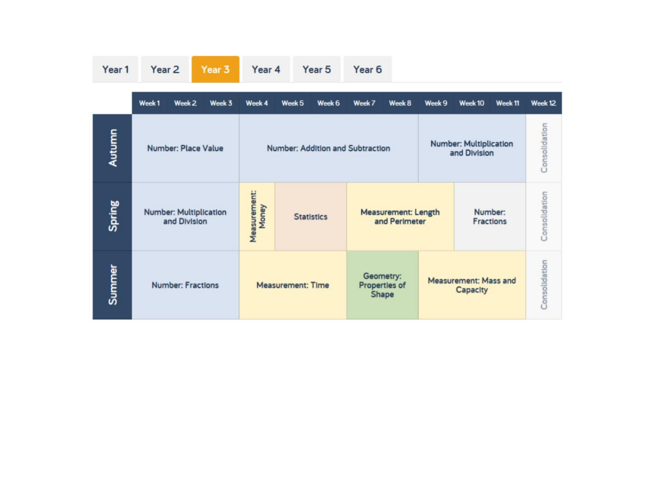| Year 1 | Year <sub>2</sub>                             | Year 3 | Year 4                | Year <sub>5</sub>                | Year <sub>6</sub>                           |                                               |                                          |               |
|--------|-----------------------------------------------|--------|-----------------------|----------------------------------|---------------------------------------------|-----------------------------------------------|------------------------------------------|---------------|
|        | Week <sub>1</sub><br>Week <sub>2</sub>        | Week 3 | Week 4                | Week 6<br>Week 5                 | Week 7<br>Week 8                            | Week 9                                        | Week <sub>10</sub><br>Week <sub>11</sub> | Week 12       |
| Autumn | Number: Place Value                           |        |                       | Number: Addition and Subtraction |                                             | <b>Number: Multiplication</b><br>and Division | Consolidation                            |               |
| Spring | <b>Number: Multiplication</b><br>and Division |        | Measurement:<br>Money | <b>Statistics</b>                | <b>Measurement: Length</b><br>and Perimeter | Number:<br>Fractions                          | Consolidation                            |               |
| Summer | <b>Number: Fractions</b>                      |        |                       | <b>Measurement: Time</b>         | Geometry:<br>Properties of<br>Shape         |                                               | <b>Measurement: Mass and</b><br>Capacity | Consolidation |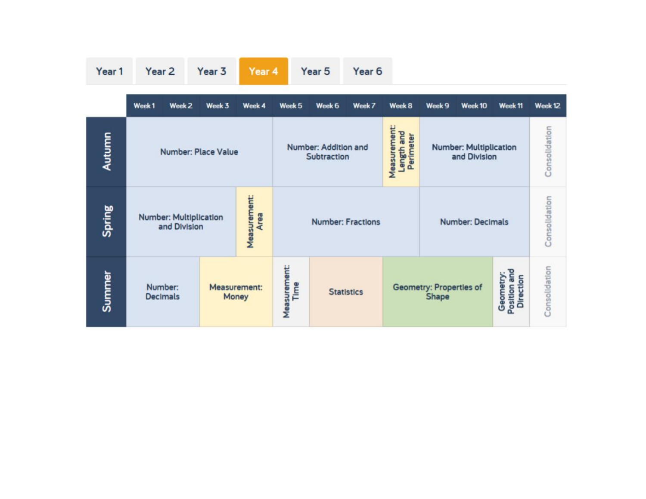| Year 1 |  |
|--------|--|

Year 2 Year 3

Year 4

Year 5 Year 6

|        | Week1<br>Week <sub>2</sub>                    | Week 3                                                                         | Week 4                | Week 5                   | Week 6            | Week 7                                        | Week 8 | Week 9                                                                            | Week 10       | Week 11 | Week 12 |
|--------|-----------------------------------------------|--------------------------------------------------------------------------------|-----------------------|--------------------------|-------------------|-----------------------------------------------|--------|-----------------------------------------------------------------------------------|---------------|---------|---------|
| Autumn | Number: Place Value                           | Measurement:<br>Length and<br>Perimeter<br>Number: Addition and<br>Subtraction |                       |                          |                   | <b>Number: Multiplication</b><br>and Division |        |                                                                                   | Consolidation |         |         |
| Spring | <b>Number: Multiplication</b><br>and Division |                                                                                | Measurement:<br>Area  | <b>Number: Fractions</b> |                   |                                               |        | <b>Number: Decimals</b>                                                           | Consolidation |         |         |
| Summer | Number:<br><b>Decimals</b>                    |                                                                                | Measurement:<br>Money | Measurement:<br>Time     | <b>Statistics</b> |                                               |        | Position and<br>Geometry:<br><b>Direction</b><br>Geometry: Properties of<br>Shape |               |         |         |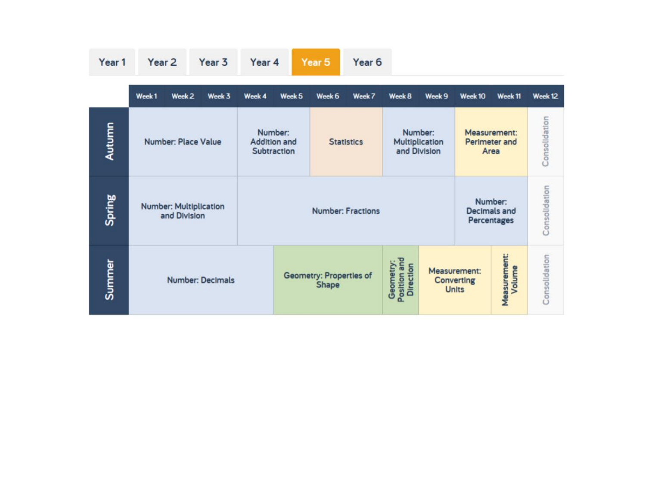| Year 1 | Year <sub>2</sub>                             |                   | Year 3 | Year 4 |                                                                    | Year 5                                                                            | Year <sub>6</sub> |        |                                                   |                                               |                               |               |
|--------|-----------------------------------------------|-------------------|--------|--------|--------------------------------------------------------------------|-----------------------------------------------------------------------------------|-------------------|--------|---------------------------------------------------|-----------------------------------------------|-------------------------------|---------------|
|        | Week <sub>1</sub>                             | Week <sub>2</sub> | Week 3 | Week 4 | Week 5                                                             | Week 6                                                                            | Week 7            | Week 8 | Week 9                                            | Week <sub>10</sub>                            | Week <sub>11</sub>            | Week 12       |
| Autumn | <b>Number: Place Value</b>                    |                   |        |        | Number:<br><b>Addition and</b><br><b>Statistics</b><br>Subtraction |                                                                                   |                   |        | Number:<br>Multiplication<br>and Division         | Measurement:<br>Perimeter and<br>Area         | Consolidation                 |               |
| Spring | <b>Number: Multiplication</b><br>and Division |                   |        |        | <b>Number: Fractions</b>                                           |                                                                                   |                   |        |                                                   | Number:<br><b>Decimals and</b><br>Percentages | Consolidation                 |               |
| Summer | <b>Number: Decimals</b>                       |                   |        |        |                                                                    | Geometry:<br>Position and<br>Direction<br><b>Geometry: Properties of</b><br>Shape |                   |        | Measurement:<br><b>Converting</b><br><b>Units</b> |                                               | <b>Measurement:</b><br>Volume | Consolidation |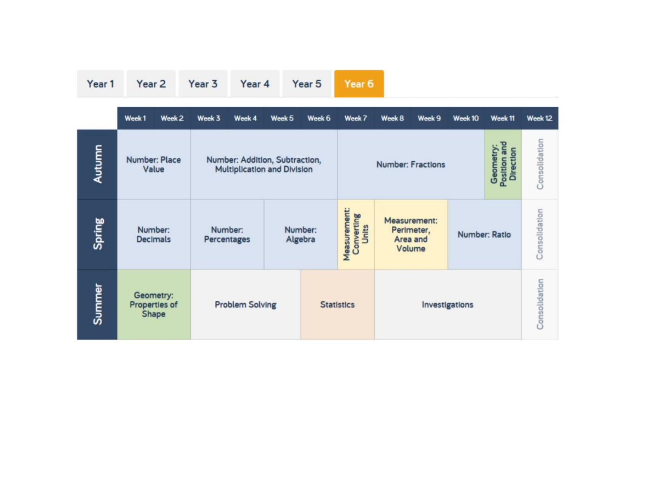| Year 1 | Year <sub>2</sub>                      | Year 3<br>Year 4                                                     |        | Year <sub>6</sub><br>Year 5 |                                                       |                                                                          |                |         |               |               |
|--------|----------------------------------------|----------------------------------------------------------------------|--------|-----------------------------|-------------------------------------------------------|--------------------------------------------------------------------------|----------------|---------|---------------|---------------|
|        | Week <sub>1</sub><br>Week <sub>2</sub> | Week 4<br>Week 3                                                     | Week 5 | Week 6                      | Week 7                                                | Week 8                                                                   | Week 9         | Week 10 | Week 11       | Week 12       |
| Autumn | <b>Number: Place</b><br>Value          | Number: Addition, Subtraction,<br><b>Multiplication and Division</b> |        |                             | Geometry:<br>Position and<br><b>Number: Fractions</b> |                                                                          |                |         |               | Consolidation |
| Spring | Number:<br><b>Decimals</b>             | Number:<br>Percentages                                               |        | Number:<br>Algebra          | Measurement:<br>Converting<br>Units                   | Measurement:<br>Perimeter,<br><b>Number: Ratio</b><br>Area and<br>Volume |                |         |               | Consolidation |
| Summer | Geometry:<br>Properties of<br>Shape    | <b>Problem Solving</b>                                               |        |                             | <b>Statistics</b>                                     |                                                                          | Investigations |         | Consolidation |               |